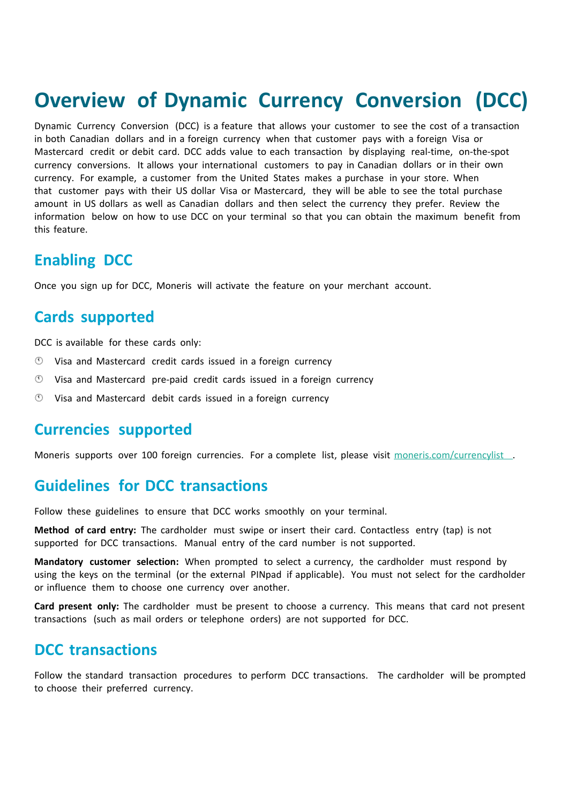# **Overview of Dynamic Currency Conversion (DCC)**

Dynamic Currency Conversion (DCC) is a feature that allows your customer to see the cost of a transaction in both Canadian dollars and in a foreign currency when that customer pays with a foreign Visa or Mastercard credit or debit card. DCC adds value to each transaction by displaying real-time, on-the-spot currency conversions. It allows your international customers to pay in Canadian dollars or in their own currency. For example, a customer from the United States makes a purchase in your store. When that customer pays with their US dollar Visa or Mastercard, they will be able to see the total purchase amount in US dollars as well as Canadian dollars and then select the currency they prefer. Review the information below on how to use DCC on your terminal so that you can obtain the maximum benefit from this feature.

## **Enabling DCC**

Once you sign up for DCC, Moneris will activate the feature on your merchant account.

## **Cards supported**

DCC is available for these cards only:

- Visa and Mastercard credit cards issued in a foreign currency
- $\circled{1}$  Visa and Mastercard pre-paid credit cards issued in a foreign currency
- $\circled{0}$  Visa and Mastercard debit cards issued in a foreign currency

#### **Currencies supported**

Moneris supports over 100 foreign currencies. For a complete list, please visit [moneris.com/currencylist](http://www.moneris.com/currencylist).

### **Guidelines for DCC transactions**

Follow these guidelines to ensure that DCC works smoothly on your terminal.

**Method of card entry:** The cardholder must swipe or insert their card. Contactless entry (tap) is not supported for DCC transactions. Manual entry of the card number is not supported.

**Mandatory customer selection:** When prompted to select a currency, the cardholder must respond by using the keys on the terminal (or the external PINpad if applicable). You must not select for the cardholder or influence them to choose one currency over another.

**Card present only:** The cardholder must be present to choose a currency. This means that card not present transactions (such as mail orders or telephone orders) are not supported for DCC.

#### **DCC transactions**

Follow the standard transaction procedures to perform DCC transactions. The cardholder will be prompted to choose their preferred currency.